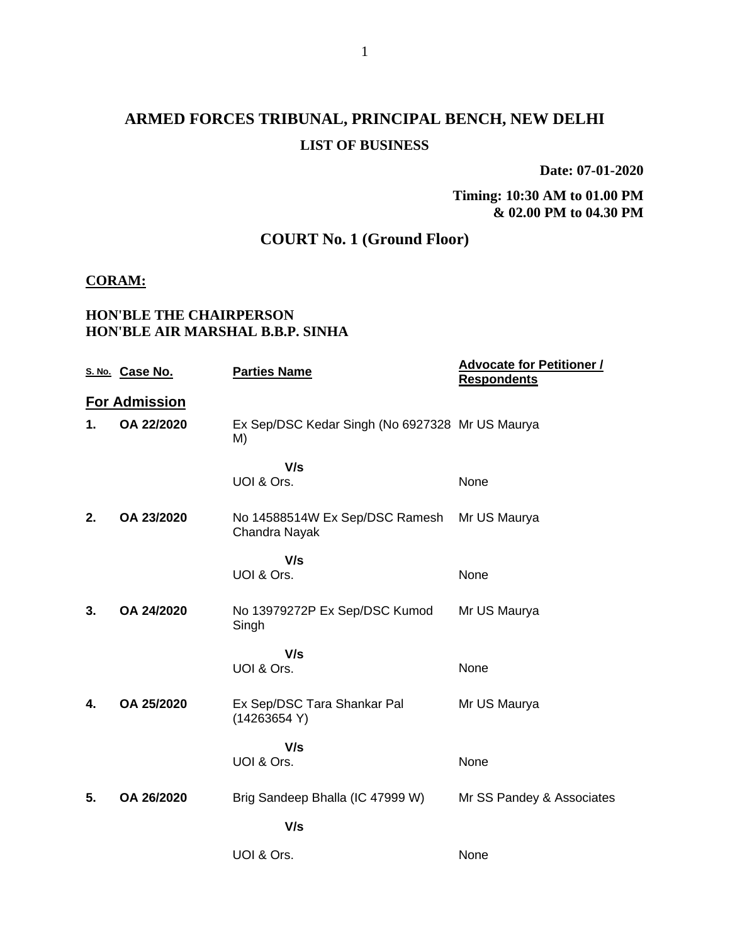# **ARMED FORCES TRIBUNAL, PRINCIPAL BENCH, NEW DELHI LIST OF BUSINESS**

**Date: 07-01-2020**

**Timing: 10:30 AM to 01.00 PM & 02.00 PM to 04.30 PM**

## **COURT No. 1 (Ground Floor)**

#### **CORAM:**

### **HON'BLE THE CHAIRPERSON HON'BLE AIR MARSHAL B.B.P. SINHA**

|    | S. No. Case No.      | <b>Parties Name</b>                                   | <b>Advocate for Petitioner /</b><br><b>Respondents</b> |
|----|----------------------|-------------------------------------------------------|--------------------------------------------------------|
|    | <b>For Admission</b> |                                                       |                                                        |
| 1. | OA 22/2020           | Ex Sep/DSC Kedar Singh (No 6927328 Mr US Maurya<br>M) |                                                        |
|    |                      | V/s                                                   |                                                        |
|    |                      | UOI & Ors.                                            | None                                                   |
| 2. | OA 23/2020           | No 14588514W Ex Sep/DSC Ramesh<br>Chandra Nayak       | Mr US Maurya                                           |
|    |                      | V/s                                                   |                                                        |
|    |                      | UOI & Ors.                                            | None                                                   |
| 3. | OA 24/2020           | No 13979272P Ex Sep/DSC Kumod<br>Singh                | Mr US Maurya                                           |
|    |                      | V/s                                                   |                                                        |
|    |                      | UOI & Ors.                                            | None                                                   |
| 4. | OA 25/2020           | Ex Sep/DSC Tara Shankar Pal<br>(14263654 Y)           | Mr US Maurya                                           |
|    |                      | V/s                                                   |                                                        |
|    |                      | UOI & Ors.                                            | None                                                   |
| 5. | OA 26/2020           | Brig Sandeep Bhalla (IC 47999 W)                      | Mr SS Pandey & Associates                              |
|    |                      | V/s                                                   |                                                        |
|    |                      | UOI & Ors.                                            | None                                                   |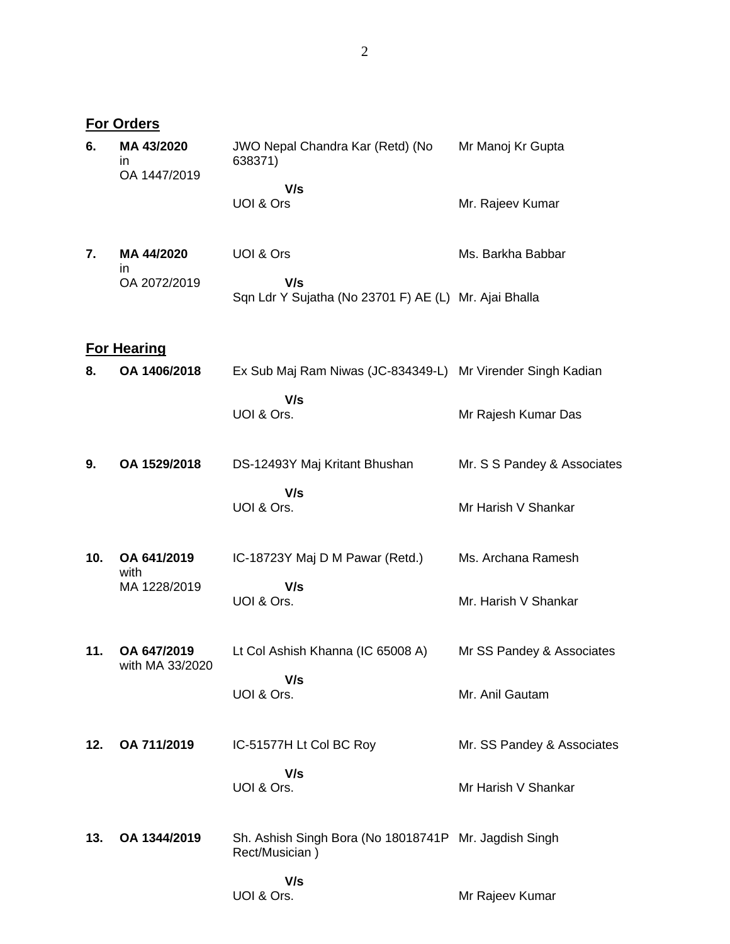**For Orders**

| 6.  | MA 43/2020<br>ın<br>OA 1447/2019 | JWO Nepal Chandra Kar (Retd) (No<br>638371)                             | Mr Manoj Kr Gupta           |
|-----|----------------------------------|-------------------------------------------------------------------------|-----------------------------|
|     |                                  | V/s<br>UOI & Ors                                                        | Mr. Rajeev Kumar            |
| 7.  | MA 44/2020<br>in                 | UOI & Ors                                                               | Ms. Barkha Babbar           |
|     | OA 2072/2019                     | V/s<br>Sqn Ldr Y Sujatha (No 23701 F) AE (L) Mr. Ajai Bhalla            |                             |
|     | <b>For Hearing</b>               |                                                                         |                             |
| 8.  | OA 1406/2018                     | Ex Sub Maj Ram Niwas (JC-834349-L) Mr Virender Singh Kadian             |                             |
|     |                                  | V/s<br>UOI & Ors.                                                       | Mr Rajesh Kumar Das         |
| 9.  | OA 1529/2018                     | DS-12493Y Maj Kritant Bhushan                                           | Mr. S S Pandey & Associates |
|     |                                  | V/s<br>UOI & Ors.                                                       | Mr Harish V Shankar         |
| 10. | OA 641/2019<br>with              | IC-18723Y Maj D M Pawar (Retd.)                                         | Ms. Archana Ramesh          |
|     | MA 1228/2019                     | V/s<br>UOI & Ors.                                                       | Mr. Harish V Shankar        |
| 11. | OA 647/2019<br>with MA 33/2020   | Lt Col Ashish Khanna (IC 65008 A)                                       | Mr SS Pandey & Associates   |
|     |                                  | V/s<br>UOI & Ors.                                                       | Mr. Anil Gautam             |
| 12. | OA 711/2019                      | IC-51577H Lt Col BC Roy                                                 | Mr. SS Pandey & Associates  |
|     |                                  | V/s<br>UOI & Ors.                                                       | Mr Harish V Shankar         |
| 13. | OA 1344/2019                     | Sh. Ashish Singh Bora (No 18018741P Mr. Jagdish Singh<br>Rect/Musician) |                             |
|     |                                  | V/s<br>UOI & Ors.                                                       | Mr Rajeev Kumar             |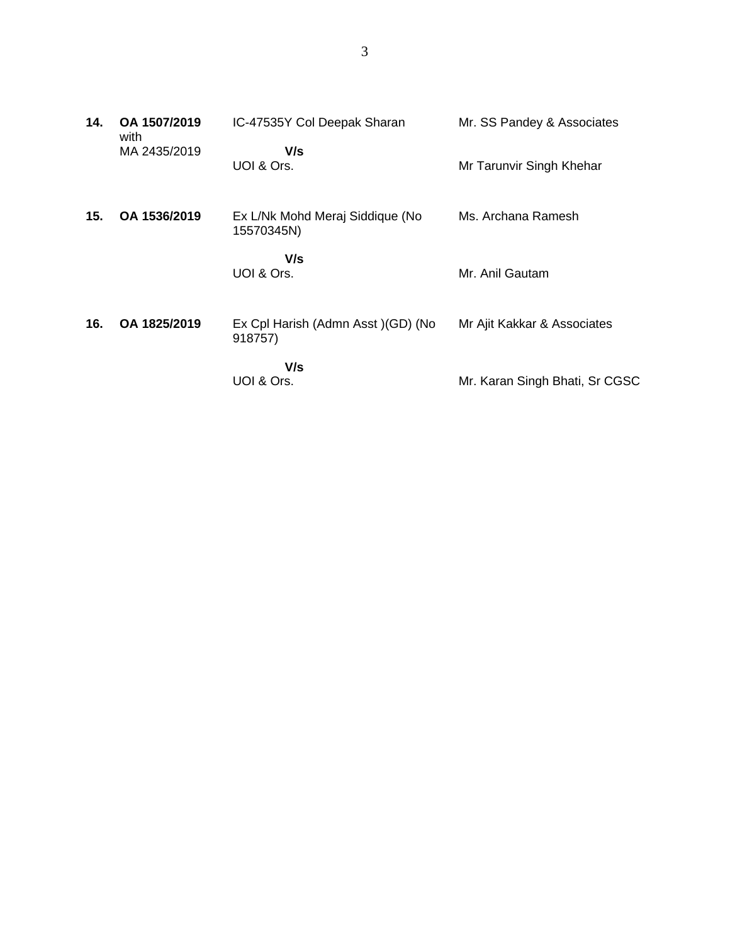| 14. | OA 1507/2019<br>with | IC-47535Y Col Deepak Sharan                   | Mr. SS Pandey & Associates     |
|-----|----------------------|-----------------------------------------------|--------------------------------|
|     | MA 2435/2019         | V/s<br>UOI & Ors.                             | Mr Tarunvir Singh Khehar       |
| 15. | OA 1536/2019         | Ex L/Nk Mohd Meraj Siddique (No<br>15570345N) | Ms. Archana Ramesh             |
|     |                      | V/s<br>UOI & Ors.                             | Mr. Anil Gautam                |
| 16. | OA 1825/2019         | Ex Cpl Harish (Admn Asst) (GD) (No<br>918757) | Mr Ajit Kakkar & Associates    |
|     |                      | V/s<br>UOI & Ors.                             | Mr. Karan Singh Bhati, Sr CGSC |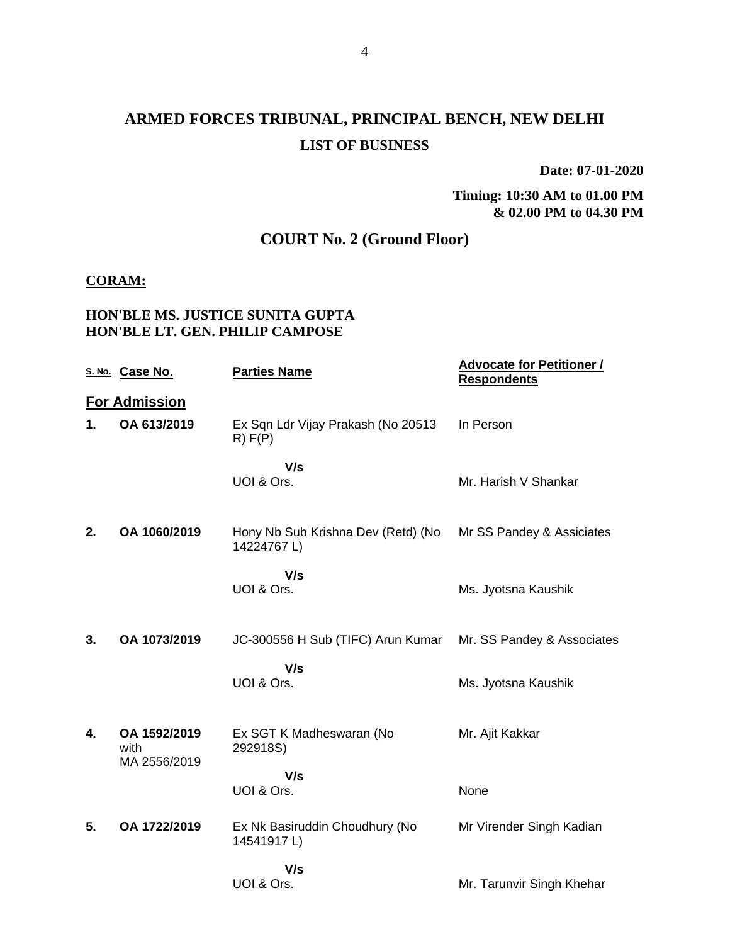# **ARMED FORCES TRIBUNAL, PRINCIPAL BENCH, NEW DELHI LIST OF BUSINESS**

**Date: 07-01-2020**

**Timing: 10:30 AM to 01.00 PM & 02.00 PM to 04.30 PM**

## **COURT No. 2 (Ground Floor)**

#### **CORAM:**

### **HON'BLE MS. JUSTICE SUNITA GUPTA HON'BLE LT. GEN. PHILIP CAMPOSE**

|    | S. No. Case No.                      | <b>Parties Name</b>                              | <b>Advocate for Petitioner /</b><br><b>Respondents</b> |
|----|--------------------------------------|--------------------------------------------------|--------------------------------------------------------|
|    | <b>For Admission</b>                 |                                                  |                                                        |
| 1. | OA 613/2019                          | Ex Sqn Ldr Vijay Prakash (No 20513<br>R) F(P)    | In Person                                              |
|    |                                      | V/s<br>UOI & Ors.                                | Mr. Harish V Shankar                                   |
| 2. | OA 1060/2019                         | Hony Nb Sub Krishna Dev (Retd) (No<br>14224767L) | Mr SS Pandey & Assiciates                              |
|    |                                      | V/s<br>UOI & Ors.                                | Ms. Jyotsna Kaushik                                    |
| 3. | OA 1073/2019                         | JC-300556 H Sub (TIFC) Arun Kumar                | Mr. SS Pandey & Associates                             |
|    |                                      | V/s<br>UOI & Ors.                                | Ms. Jyotsna Kaushik                                    |
| 4. | OA 1592/2019<br>with<br>MA 2556/2019 | Ex SGT K Madheswaran (No<br>292918S)             | Mr. Ajit Kakkar                                        |
|    |                                      | V/s<br>UOI & Ors.                                | None                                                   |
| 5. | OA 1722/2019                         | Ex Nk Basiruddin Choudhury (No<br>14541917L)     | Mr Virender Singh Kadian                               |
|    |                                      | V/s<br>UOI & Ors.                                | Mr. Tarunvir Singh Khehar                              |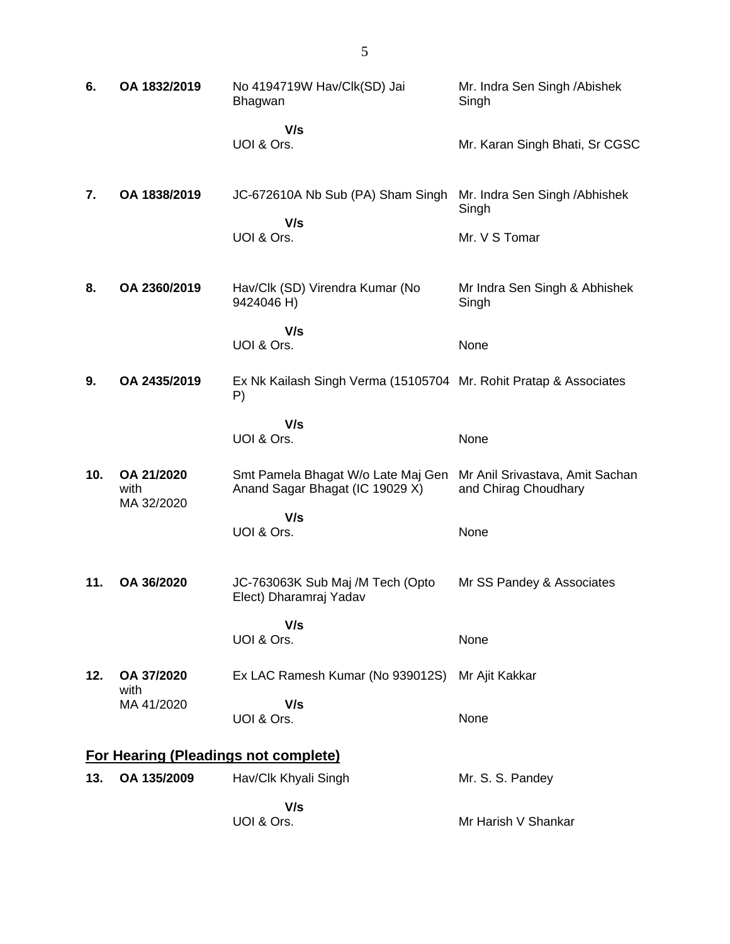| 6.  | OA 1832/2019       | No 4194719W Hav/Clk(SD) Jai<br>Bhagwan                                  | Mr. Indra Sen Singh / Abishek<br>Singh                   |
|-----|--------------------|-------------------------------------------------------------------------|----------------------------------------------------------|
|     |                    | V/s<br>UOI & Ors.                                                       | Mr. Karan Singh Bhati, Sr CGSC                           |
| 7.  | OA 1838/2019       | JC-672610A Nb Sub (PA) Sham Singh<br>V/s<br>UOI & Ors.                  | Mr. Indra Sen Singh / Abhishek<br>Singh<br>Mr. V S Tomar |
| 8.  | OA 2360/2019       | Hav/Clk (SD) Virendra Kumar (No<br>9424046 H)                           | Mr Indra Sen Singh & Abhishek<br>Singh                   |
|     |                    | V/s<br>UOI & Ors.                                                       | None                                                     |
| 9.  | OA 2435/2019       | Ex Nk Kailash Singh Verma (15105704 Mr. Rohit Pratap & Associates<br>P) |                                                          |
|     |                    | V/s<br>UOI & Ors.                                                       | None                                                     |
| 10. | OA 21/2020<br>with | Smt Pamela Bhagat W/o Late Maj Gen<br>Anand Sagar Bhagat (IC 19029 X)   | Mr Anil Srivastava, Amit Sachan<br>and Chirag Choudhary  |
|     | MA 32/2020         | V/s<br>UOI & Ors.                                                       | None                                                     |
| 11. | OA 36/2020         | JC-763063K Sub Maj /M Tech (Opto<br>Elect) Dharamraj Yadav              | Mr SS Pandey & Associates                                |
|     |                    | V/s<br>UOI & Ors.                                                       | None                                                     |
| 12. | OA 37/2020<br>with | Ex LAC Ramesh Kumar (No 939012S)                                        | Mr Ajit Kakkar                                           |
|     | MA 41/2020         | V/s<br>UOI & Ors.                                                       | None                                                     |
|     |                    | <b>For Hearing (Pleadings not complete)</b>                             |                                                          |
| 13. | OA 135/2009        | Hav/Clk Khyali Singh                                                    | Mr. S. S. Pandey                                         |
|     |                    | V/s<br>UOI & Ors.                                                       | Mr Harish V Shankar                                      |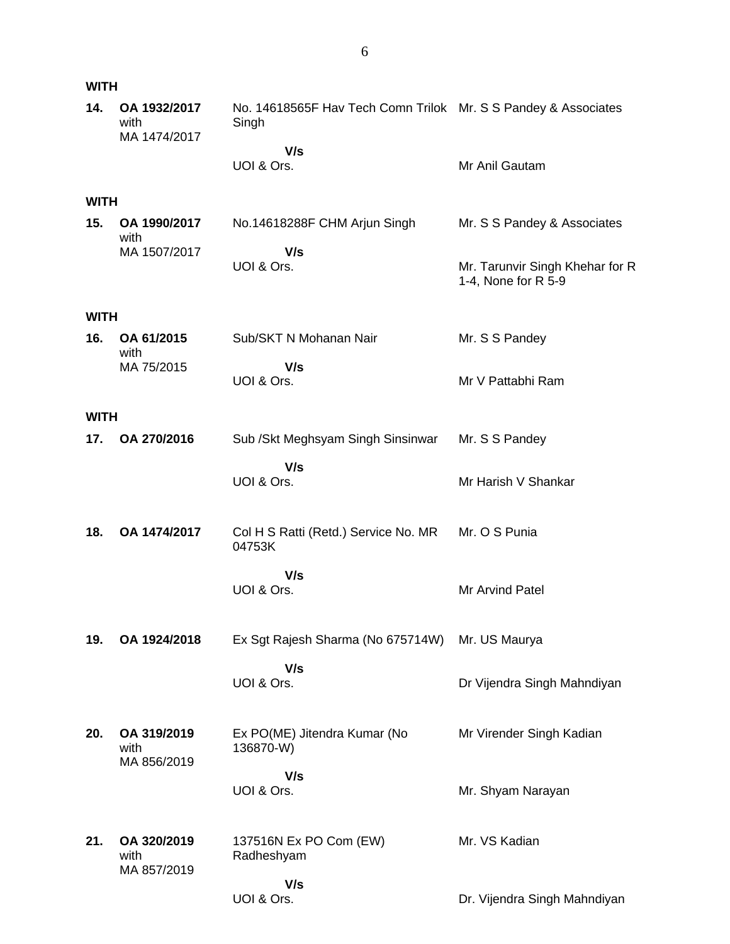| <b>WITH</b> |                                      |                                                                         |                                                        |  |
|-------------|--------------------------------------|-------------------------------------------------------------------------|--------------------------------------------------------|--|
| 14.         | OA 1932/2017<br>with<br>MA 1474/2017 | No. 14618565F Hav Tech Comn Trilok Mr. S S Pandey & Associates<br>Singh |                                                        |  |
|             |                                      | V/s<br>UOI & Ors.                                                       | Mr Anil Gautam                                         |  |
| <b>WITH</b> |                                      |                                                                         |                                                        |  |
| 15.         | OA 1990/2017<br>with                 | No.14618288F CHM Arjun Singh                                            | Mr. S S Pandey & Associates                            |  |
|             | MA 1507/2017                         | V/s<br>UOI & Ors.                                                       | Mr. Tarunvir Singh Khehar for R<br>1-4, None for R 5-9 |  |
| <b>WITH</b> |                                      |                                                                         |                                                        |  |
| 16.         | OA 61/2015<br>with                   | Sub/SKT N Mohanan Nair                                                  | Mr. S S Pandey                                         |  |
|             | MA 75/2015                           | V/s<br>UOI & Ors.                                                       | Mr V Pattabhi Ram                                      |  |
| <b>WITH</b> |                                      |                                                                         |                                                        |  |
| 17.         | OA 270/2016                          | Sub / Skt Meghsyam Singh Sinsinwar                                      | Mr. S S Pandey                                         |  |
|             |                                      | V/s<br>UOI & Ors.                                                       | Mr Harish V Shankar                                    |  |
| 18.         | OA 1474/2017                         | Col H S Ratti (Retd.) Service No. MR<br>04753K                          | Mr. O S Punia                                          |  |
|             |                                      | V/s<br>UOI & Ors.                                                       | Mr Arvind Patel                                        |  |
| 19.         | OA 1924/2018                         | Ex Sgt Rajesh Sharma (No 675714W)                                       | Mr. US Maurya                                          |  |
|             |                                      | V/s<br>UOI & Ors.                                                       | Dr Vijendra Singh Mahndiyan                            |  |
| 20.         | OA 319/2019<br>with<br>MA 856/2019   | Ex PO(ME) Jitendra Kumar (No<br>136870-W)                               | Mr Virender Singh Kadian                               |  |
|             |                                      | V/s<br>UOI & Ors.                                                       | Mr. Shyam Narayan                                      |  |
| 21.         | OA 320/2019<br>with<br>MA 857/2019   | 137516N Ex PO Com (EW)<br>Radheshyam                                    | Mr. VS Kadian                                          |  |
|             |                                      | V/s                                                                     |                                                        |  |

Dr. Vijendra Singh Mahndiyan

UOI & Ors.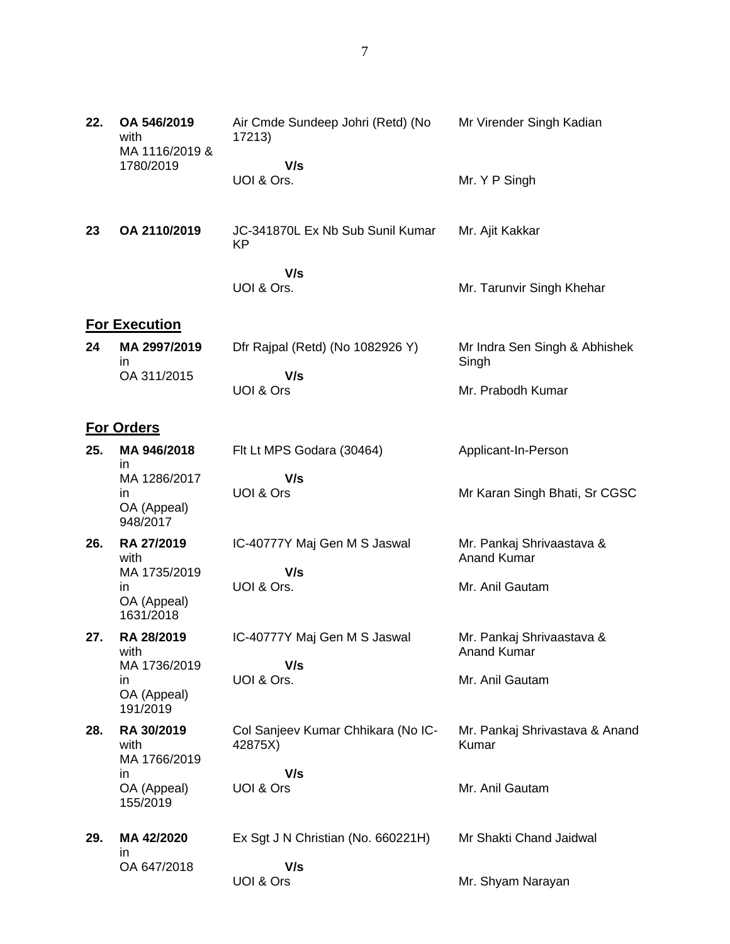| 22. | OA 546/2019<br>with<br>MA 1116/2019 &<br>1780/2019 | Air Cmde Sundeep Johri (Retd) (No<br>17213)   | Mr Virender Singh Kadian                        |
|-----|----------------------------------------------------|-----------------------------------------------|-------------------------------------------------|
|     |                                                    | V/s<br>UOI & Ors.                             | Mr. Y P Singh                                   |
| 23  | OA 2110/2019                                       | JC-341870L Ex Nb Sub Sunil Kumar<br>KP        | Mr. Ajit Kakkar                                 |
|     |                                                    | V/s<br>UOI & Ors.                             | Mr. Tarunvir Singh Khehar                       |
|     | <b>For Execution</b>                               |                                               |                                                 |
| 24  | MA 2997/2019<br>in                                 | Dfr Rajpal (Retd) (No 1082926 Y)              | Mr Indra Sen Singh & Abhishek<br>Singh          |
|     | OA 311/2015                                        | V/s<br>UOI & Ors                              | Mr. Prabodh Kumar                               |
|     | <b>For Orders</b>                                  |                                               |                                                 |
| 25. | MA 946/2018<br>in                                  | Flt Lt MPS Godara (30464)                     | Applicant-In-Person                             |
|     | MA 1286/2017<br>in<br>OA (Appeal)<br>948/2017      | V/s<br>UOI & Ors                              | Mr Karan Singh Bhati, Sr CGSC                   |
| 26. | RA 27/2019<br>with                                 | IC-40777Y Maj Gen M S Jaswal                  | Mr. Pankaj Shrivaastava &<br><b>Anand Kumar</b> |
|     | MA 1735/2019<br>in<br>OA (Appeal)<br>1631/2018     | V/s<br>UOI & Ors.                             | Mr. Anil Gautam                                 |
| 27. | RA 28/2019<br>with                                 | IC-40777Y Maj Gen M S Jaswal                  | Mr. Pankaj Shrivaastava &<br><b>Anand Kumar</b> |
|     | MA 1736/2019<br>in<br>OA (Appeal)<br>191/2019      | V/s<br>UOI & Ors.                             | Mr. Anil Gautam                                 |
| 28. | RA 30/2019<br>with<br>MA 1766/2019                 | Col Sanjeev Kumar Chhikara (No IC-<br>42875X) | Mr. Pankaj Shrivastava & Anand<br>Kumar         |
|     | in<br>OA (Appeal)<br>155/2019                      | V/s<br>UOI & Ors                              | Mr. Anil Gautam                                 |
| 29. | MA 42/2020<br>in                                   | Ex Sgt J N Christian (No. 660221H)            | Mr Shakti Chand Jaidwal                         |
|     | OA 647/2018                                        | V/s<br>UOI & Ors                              | Mr. Shyam Narayan                               |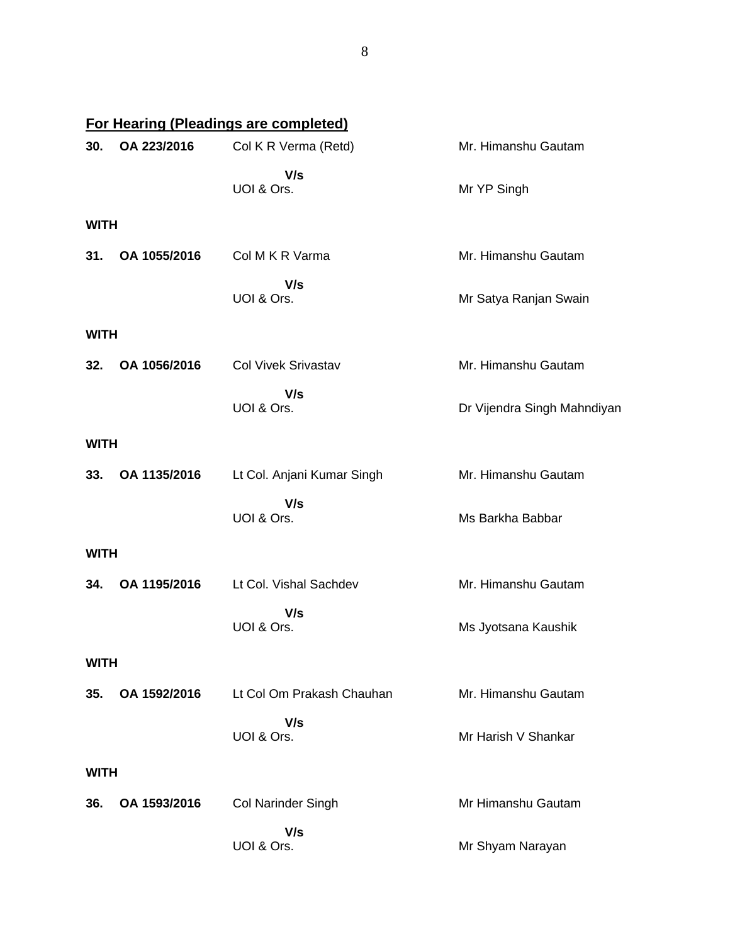|             |              | For Hearing (Pleadings are completed) |                             |
|-------------|--------------|---------------------------------------|-----------------------------|
| 30.         | OA 223/2016  | Col K R Verma (Retd)                  | Mr. Himanshu Gautam         |
|             |              | V/s<br>UOI & Ors.                     | Mr YP Singh                 |
| <b>WITH</b> |              |                                       |                             |
| 31.         | OA 1055/2016 | Col M K R Varma                       | Mr. Himanshu Gautam         |
|             |              | V/s<br>UOI & Ors.                     | Mr Satya Ranjan Swain       |
| <b>WITH</b> |              |                                       |                             |
| 32.         | OA 1056/2016 | <b>Col Vivek Srivastav</b>            | Mr. Himanshu Gautam         |
|             |              | V/s<br>UOI & Ors.                     | Dr Vijendra Singh Mahndiyan |
| <b>WITH</b> |              |                                       |                             |
| 33.         | OA 1135/2016 | Lt Col. Anjani Kumar Singh            | Mr. Himanshu Gautam         |
|             |              | V/s<br>UOI & Ors.                     | Ms Barkha Babbar            |
| <b>WITH</b> |              |                                       |                             |
| 34.         | OA 1195/2016 | Lt Col. Vishal Sachdev                | Mr. Himanshu Gautam         |
|             |              | V/s<br>UOI & Ors.                     | Ms Jyotsana Kaushik         |
| <b>WITH</b> |              |                                       |                             |
| 35.         | OA 1592/2016 | Lt Col Om Prakash Chauhan             | Mr. Himanshu Gautam         |
|             |              | V/s<br>UOI & Ors.                     | Mr Harish V Shankar         |
| <b>WITH</b> |              |                                       |                             |
| 36.         | OA 1593/2016 | <b>Col Narinder Singh</b>             | Mr Himanshu Gautam          |
|             |              | V/s<br>UOI & Ors.                     | Mr Shyam Narayan            |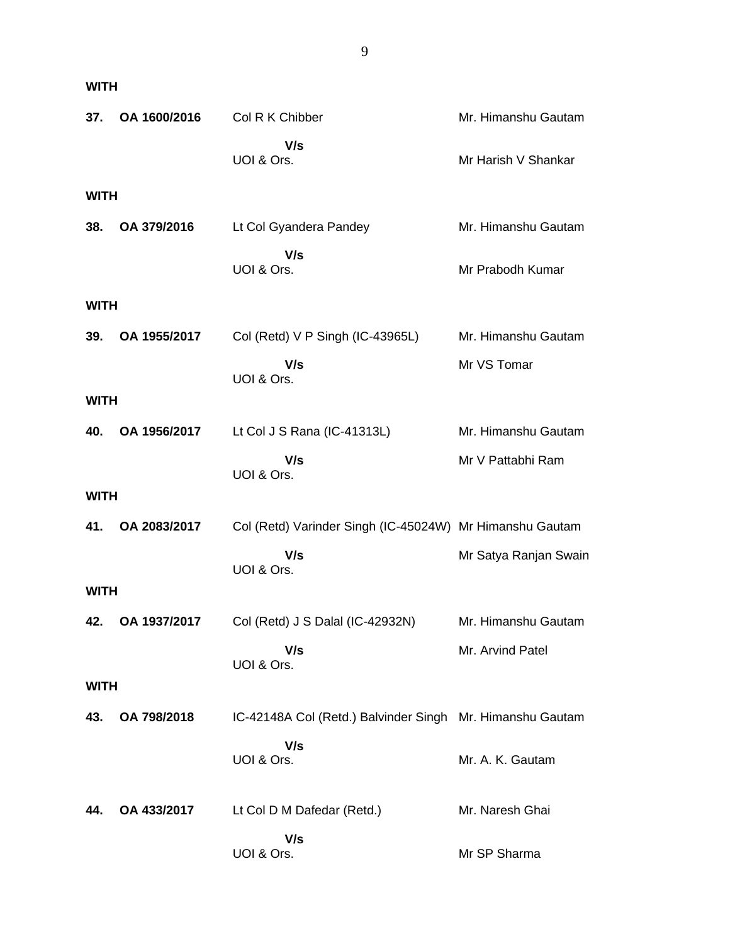| 37.         | OA 1600/2016 | Col R K Chibber                                           | Mr. Himanshu Gautam   |
|-------------|--------------|-----------------------------------------------------------|-----------------------|
|             |              | V/s<br>UOI & Ors.                                         | Mr Harish V Shankar   |
| <b>WITH</b> |              |                                                           |                       |
| 38.         | OA 379/2016  | Lt Col Gyandera Pandey                                    | Mr. Himanshu Gautam   |
|             |              | V/s<br>UOI & Ors.                                         | Mr Prabodh Kumar      |
| <b>WITH</b> |              |                                                           |                       |
| 39.         | OA 1955/2017 | Col (Retd) V P Singh (IC-43965L)                          | Mr. Himanshu Gautam   |
|             |              | V/s<br>UOI & Ors.                                         | Mr VS Tomar           |
| <b>WITH</b> |              |                                                           |                       |
| 40.         | OA 1956/2017 | Lt Col J S Rana (IC-41313L)                               | Mr. Himanshu Gautam   |
|             |              | V/s<br>UOI & Ors.                                         | Mr V Pattabhi Ram     |
| <b>WITH</b> |              |                                                           |                       |
| 41.         | OA 2083/2017 | Col (Retd) Varinder Singh (IC-45024W) Mr Himanshu Gautam  |                       |
|             |              | V/s<br>UOI & Ors.                                         | Mr Satya Ranjan Swain |
| <b>WITH</b> |              |                                                           |                       |
| 42.         | OA 1937/2017 | Col (Retd) J S Dalal (IC-42932N)                          | Mr. Himanshu Gautam   |
|             |              | V/s<br>UOI & Ors.                                         | Mr. Arvind Patel      |
| <b>WITH</b> |              |                                                           |                       |
| 43.         | OA 798/2018  | IC-42148A Col (Retd.) Balvinder Singh Mr. Himanshu Gautam |                       |
|             |              | V/s<br>UOI & Ors.                                         | Mr. A. K. Gautam      |
| 44.         | OA 433/2017  | Lt Col D M Dafedar (Retd.)                                | Mr. Naresh Ghai       |
|             |              | V/s<br>UOI & Ors.                                         | Mr SP Sharma          |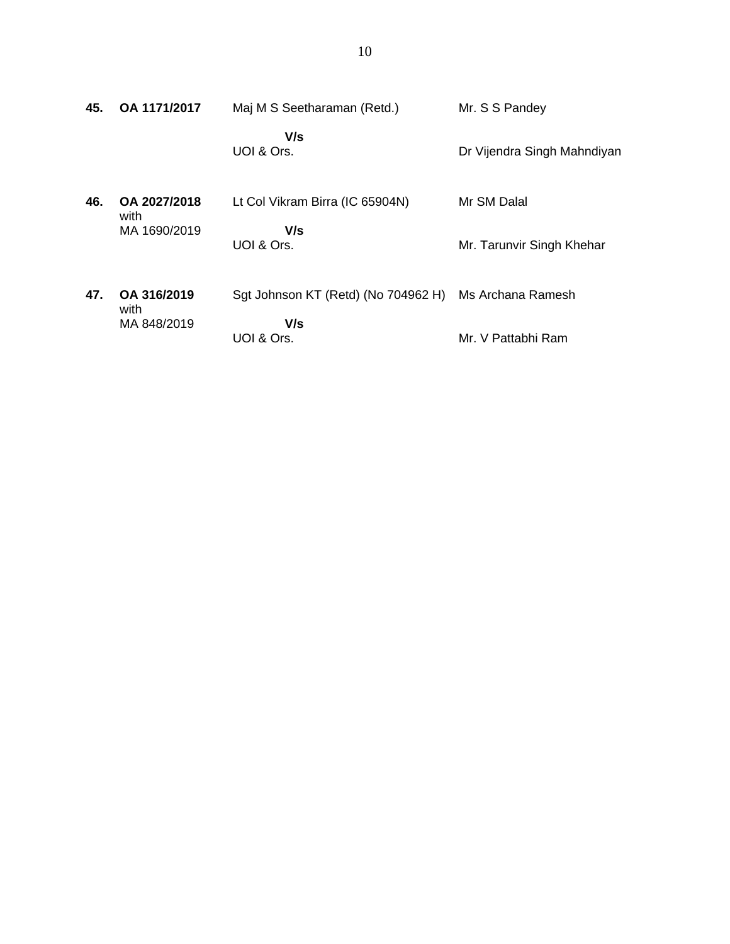| 45. | OA 1171/2017         | Maj M S Seetharaman (Retd.)         | Mr. S S Pandey              |
|-----|----------------------|-------------------------------------|-----------------------------|
|     |                      | V/s<br>UOI & Ors.                   | Dr Vijendra Singh Mahndiyan |
| 46. | OA 2027/2018<br>with | Lt Col Vikram Birra (IC 65904N)     | Mr SM Dalal                 |
|     | MA 1690/2019         | V/s<br>UOI & Ors.                   | Mr. Tarunvir Singh Khehar   |
| 47. | OA 316/2019<br>with  | Sgt Johnson KT (Retd) (No 704962 H) | Ms Archana Ramesh           |
|     | MA 848/2019          | V/s<br>UOI & Ors.                   | Mr. V Pattabhi Ram          |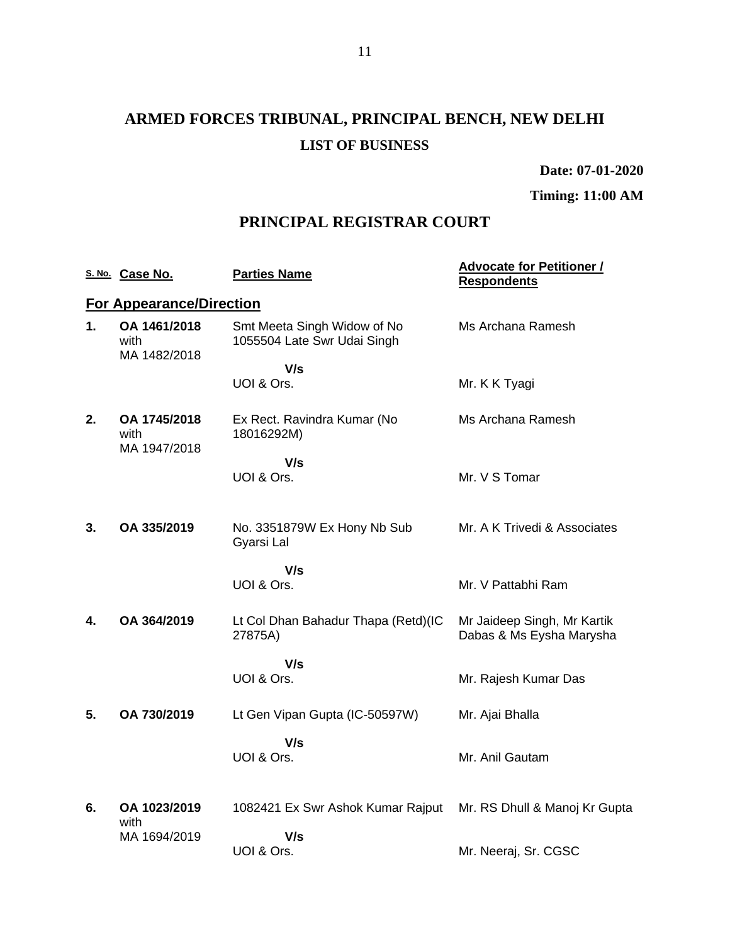# **ARMED FORCES TRIBUNAL, PRINCIPAL BENCH, NEW DELHI LIST OF BUSINESS**

**Date: 07-01-2020**

**Timing: 11:00 AM**

## **PRINCIPAL REGISTRAR COURT**

|    | S. No. Case No.                      | <b>Parties Name</b>                                        | <b>Advocate for Petitioner /</b><br><b>Respondents</b>  |
|----|--------------------------------------|------------------------------------------------------------|---------------------------------------------------------|
|    | <b>For Appearance/Direction</b>      |                                                            |                                                         |
| 1. | OA 1461/2018<br>with<br>MA 1482/2018 | Smt Meeta Singh Widow of No<br>1055504 Late Swr Udai Singh | Ms Archana Ramesh                                       |
|    |                                      | V/s                                                        |                                                         |
|    |                                      | UOI & Ors.                                                 | Mr. K K Tyagi                                           |
| 2. | OA 1745/2018<br>with<br>MA 1947/2018 | Ex Rect. Ravindra Kumar (No<br>18016292M)                  | Ms Archana Ramesh                                       |
|    |                                      | V/s                                                        |                                                         |
|    |                                      | UOI & Ors.                                                 | Mr. V S Tomar                                           |
|    |                                      |                                                            |                                                         |
| 3. | OA 335/2019                          | No. 3351879W Ex Hony Nb Sub<br>Gyarsi Lal                  | Mr. A K Trivedi & Associates                            |
|    |                                      | V/s                                                        |                                                         |
|    |                                      | UOI & Ors.                                                 | Mr. V Pattabhi Ram                                      |
| 4. | OA 364/2019                          | Lt Col Dhan Bahadur Thapa (Retd)(IC<br>27875A)             | Mr Jaideep Singh, Mr Kartik<br>Dabas & Ms Eysha Marysha |
|    |                                      | V/s                                                        |                                                         |
|    |                                      | UOI & Ors.                                                 | Mr. Rajesh Kumar Das                                    |
| 5. | OA 730/2019                          | Lt Gen Vipan Gupta (IC-50597W)                             | Mr. Ajai Bhalla                                         |
|    |                                      | V/s                                                        |                                                         |
|    |                                      | UOI & Ors.                                                 | Mr. Anil Gautam                                         |
|    |                                      |                                                            |                                                         |
| 6. | OA 1023/2019<br>with                 | 1082421 Ex Swr Ashok Kumar Rajput                          | Mr. RS Dhull & Manoj Kr Gupta                           |
|    | MA 1694/2019                         | V/s                                                        |                                                         |
|    |                                      | UOI & Ors.                                                 | Mr. Neeraj, Sr. CGSC                                    |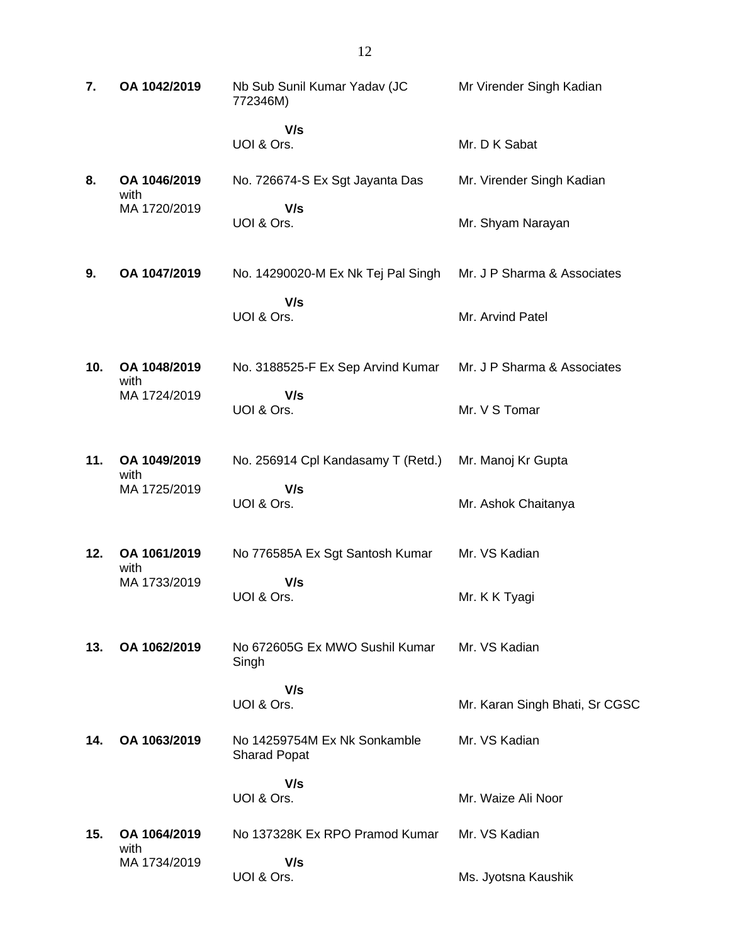| 7.  | OA 1042/2019         | Nb Sub Sunil Kumar Yadav (JC<br>772346M)            | Mr Virender Singh Kadian       |
|-----|----------------------|-----------------------------------------------------|--------------------------------|
|     |                      | V/s<br>UOI & Ors.                                   | Mr. D K Sabat                  |
| 8.  | OA 1046/2019         | No. 726674-S Ex Sgt Jayanta Das                     | Mr. Virender Singh Kadian      |
|     | with<br>MA 1720/2019 | V/s<br>UOI & Ors.                                   | Mr. Shyam Narayan              |
| 9.  | OA 1047/2019         | No. 14290020-M Ex Nk Tej Pal Singh                  | Mr. J P Sharma & Associates    |
|     |                      | V/s<br>UOI & Ors.                                   | Mr. Arvind Patel               |
| 10. | OA 1048/2019<br>with | No. 3188525-F Ex Sep Arvind Kumar                   | Mr. J P Sharma & Associates    |
|     | MA 1724/2019         | V/s<br>UOI & Ors.                                   | Mr. V S Tomar                  |
| 11. | OA 1049/2019<br>with | No. 256914 Cpl Kandasamy T (Retd.)                  | Mr. Manoj Kr Gupta             |
|     | MA 1725/2019         | V/s<br>UOI & Ors.                                   | Mr. Ashok Chaitanya            |
| 12. | OA 1061/2019<br>with | No 776585A Ex Sgt Santosh Kumar                     | Mr. VS Kadian                  |
|     | MA 1733/2019         | V/s<br>UOI & Ors.                                   | Mr. K K Tyagi                  |
| 13. | OA 1062/2019         | No 672605G Ex MWO Sushil Kumar<br>Singh             | Mr. VS Kadian                  |
|     |                      | V/s<br>UOI & Ors.                                   | Mr. Karan Singh Bhati, Sr CGSC |
| 14. | OA 1063/2019         | No 14259754M Ex Nk Sonkamble<br><b>Sharad Popat</b> | Mr. VS Kadian                  |
|     |                      | V/s<br>UOI & Ors.                                   | Mr. Waize Ali Noor             |
| 15. | OA 1064/2019         | No 137328K Ex RPO Pramod Kumar                      | Mr. VS Kadian                  |
|     | with<br>MA 1734/2019 | V/s<br>UOI & Ors.                                   | Ms. Jyotsna Kaushik            |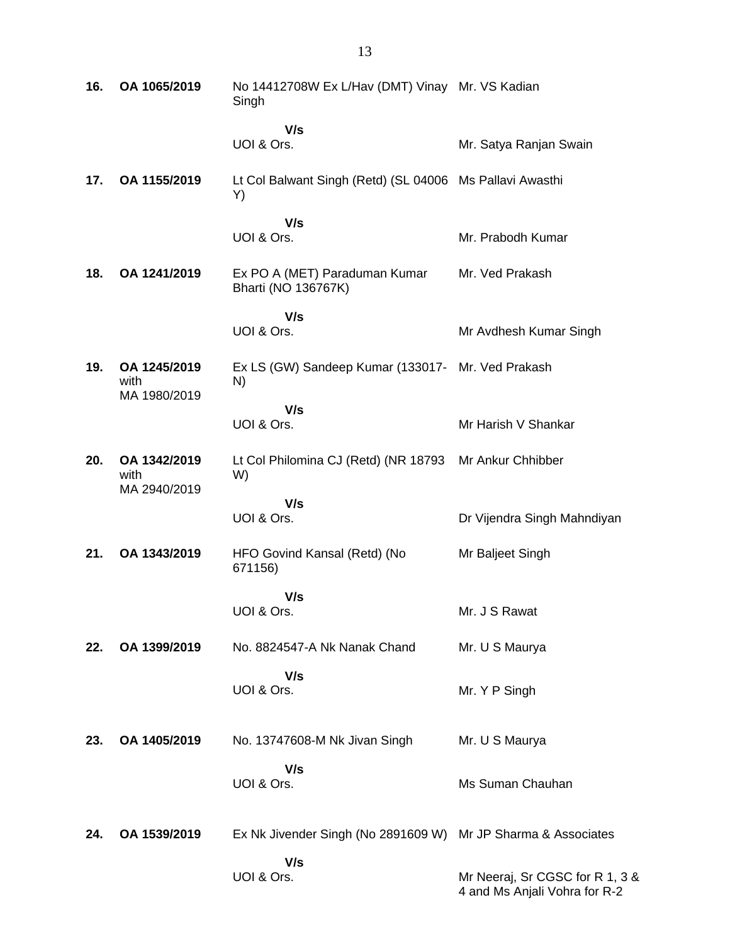| 16. | OA 1065/2019                         | No 14412708W Ex L/Hav (DMT) Vinay Mr. VS Kadian<br>Singh       |                                                                  |
|-----|--------------------------------------|----------------------------------------------------------------|------------------------------------------------------------------|
|     |                                      | V/s                                                            |                                                                  |
|     |                                      | UOI & Ors.                                                     | Mr. Satya Ranjan Swain                                           |
| 17. | OA 1155/2019                         | Lt Col Balwant Singh (Retd) (SL 04006 Ms Pallavi Awasthi<br>Y) |                                                                  |
|     |                                      | V/s                                                            |                                                                  |
|     |                                      | UOI & Ors.                                                     | Mr. Prabodh Kumar                                                |
| 18. | OA 1241/2019                         | Ex PO A (MET) Paraduman Kumar<br>Bharti (NO 136767K)           | Mr. Ved Prakash                                                  |
|     |                                      | V/s                                                            |                                                                  |
|     |                                      | UOI & Ors.                                                     | Mr Avdhesh Kumar Singh                                           |
| 19. | OA 1245/2019<br>with<br>MA 1980/2019 | Ex LS (GW) Sandeep Kumar (133017- Mr. Ved Prakash<br>N)        |                                                                  |
|     |                                      | V/s                                                            |                                                                  |
|     |                                      | UOI & Ors.                                                     | Mr Harish V Shankar                                              |
| 20. | OA 1342/2019<br>with<br>MA 2940/2019 | Lt Col Philomina CJ (Retd) (NR 18793<br>W)                     | Mr Ankur Chhibber                                                |
|     |                                      | V/s                                                            |                                                                  |
|     |                                      | UOI & Ors.                                                     | Dr Vijendra Singh Mahndiyan                                      |
| 21. | OA 1343/2019                         | HFO Govind Kansal (Retd) (No<br>671156)                        | Mr Baljeet Singh                                                 |
|     |                                      | V/s                                                            |                                                                  |
|     |                                      | UOI & Ors.                                                     | Mr. J S Rawat                                                    |
| 22. | OA 1399/2019                         | No. 8824547-A Nk Nanak Chand                                   | Mr. U S Maurya                                                   |
|     |                                      | V/s<br>UOI & Ors.                                              | Mr. Y P Singh                                                    |
|     |                                      |                                                                |                                                                  |
| 23. | OA 1405/2019                         | No. 13747608-M Nk Jivan Singh                                  | Mr. U S Maurya                                                   |
|     |                                      | V/s                                                            |                                                                  |
|     |                                      | UOI & Ors.                                                     | Ms Suman Chauhan                                                 |
| 24. | OA 1539/2019                         | Ex Nk Jivender Singh (No 2891609 W)                            | Mr JP Sharma & Associates                                        |
|     |                                      |                                                                |                                                                  |
|     |                                      | V/s<br>UOI & Ors.                                              | Mr Neeraj, Sr CGSC for R 1, 3 &<br>4 and Ms Anjali Vohra for R-2 |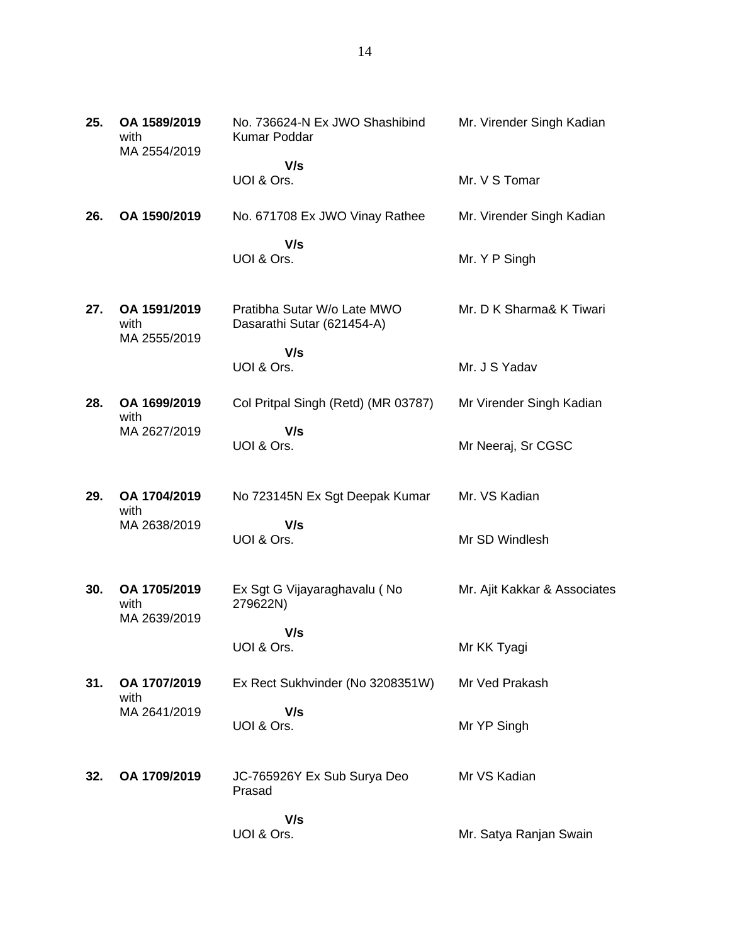| 25. | OA 1589/2019<br>with<br>MA 2554/2019 | No. 736624-N Ex JWO Shashibind<br>Kumar Poddar            | Mr. Virender Singh Kadian    |
|-----|--------------------------------------|-----------------------------------------------------------|------------------------------|
|     |                                      | V/s                                                       |                              |
|     |                                      | UOI & Ors.                                                | Mr. V S Tomar                |
| 26. | OA 1590/2019                         | No. 671708 Ex JWO Vinay Rathee                            | Mr. Virender Singh Kadian    |
|     |                                      | V/s                                                       |                              |
|     |                                      | UOI & Ors.                                                | Mr. Y P Singh                |
|     |                                      |                                                           |                              |
| 27. | OA 1591/2019<br>with                 | Pratibha Sutar W/o Late MWO<br>Dasarathi Sutar (621454-A) | Mr. D K Sharma& K Tiwari     |
|     | MA 2555/2019                         |                                                           |                              |
|     |                                      | V/s<br>UOI & Ors.                                         | Mr. J S Yadav                |
|     |                                      |                                                           |                              |
| 28. | OA 1699/2019<br>with                 | Col Pritpal Singh (Retd) (MR 03787)                       | Mr Virender Singh Kadian     |
|     | MA 2627/2019                         | V/s                                                       |                              |
|     |                                      | UOI & Ors.                                                | Mr Neeraj, Sr CGSC           |
|     |                                      |                                                           |                              |
| 29. | OA 1704/2019<br>with                 | No 723145N Ex Sgt Deepak Kumar                            | Mr. VS Kadian                |
|     | MA 2638/2019                         | V/s                                                       |                              |
|     |                                      | UOI & Ors.                                                | Mr SD Windlesh               |
|     |                                      |                                                           |                              |
| 30. | OA 1705/2019<br>with                 | Ex Sgt G Vijayaraghavalu (No<br>279622N)                  | Mr. Ajit Kakkar & Associates |
|     | MA 2639/2019                         |                                                           |                              |
|     |                                      | V/s<br>UOI & Ors.                                         | Mr KK Tyagi                  |
|     |                                      |                                                           |                              |
| 31. | OA 1707/2019<br>with                 | Ex Rect Sukhvinder (No 3208351W)                          | Mr Ved Prakash               |
|     | MA 2641/2019                         | V/s                                                       |                              |
|     |                                      | UOI & Ors.                                                | Mr YP Singh                  |
|     |                                      |                                                           |                              |
| 32. | OA 1709/2019                         | JC-765926Y Ex Sub Surya Deo<br>Prasad                     | Mr VS Kadian                 |
|     |                                      |                                                           |                              |
|     |                                      | V/s<br>UOI & Ors.                                         | Mr. Satya Ranjan Swain       |